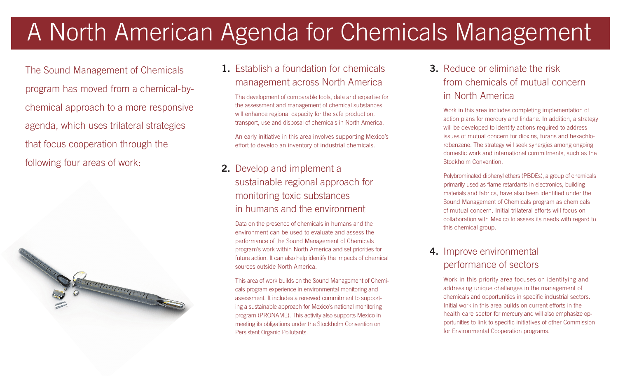# A North American Agenda for Chemicals Management

The Sound Management of Chemicals program has moved from a chemical-bychemical approach to a more responsive agenda, which uses trilateral strategies that focus cooperation through the following four areas of work:<br>
2. Develop and implement a



#### 1. Establish a foundation for chemicals management across North America

The development of comparable tools, data and expertise for the assessment and management of chemical substances will enhance regional capacity for the safe production, transport, use and disposal of chemicals in North America.

An early initiative in this area involves supporting Mexico's effort to develop an inventory of industrial chemicals.

## sustainable regional approach for monitoring toxic substances in humans and the environment

Data on the presence of chemicals in humans and the environment can be used to evaluate and assess the performance of the Sound Management of Chemicals program's work within North America and set priorities for future action. It can also help identify the impacts of chemical sources outside North America.

This area of work builds on the Sound Management of Chemicals program experience in environmental monitoring and assessment. It includes a renewed commitment to supporting a sustainable approach for Mexico's national monitoring program (PRONAME). This activity also supports Mexico in meeting its obligations under the Stockholm Convention on Persistent Organic Pollutants.

## 3. Reduce or eliminate the risk from chemicals of mutual concern in North America

Work in this area includes completing implementation of action plans for mercury and lindane. In addition, a strategy will be developed to identify actions required to address issues of mutual concern for dioxins, furans and hexachlorobenzene. The strategy will seek synergies among ongoing domestic work and international commitments, such as the Stockholm Convention.

Polybrominated diphenyl ethers (PBDEs), a group of chemicals primarily used as flame retardants in electronics, building materials and fabrics, have also been identified under the Sound Management of Chemicals program as chemicals of mutual concern. Initial trilateral efforts will focus on collaboration with Mexico to assess its needs with regard to this chemical group.

#### 4. Improve environmental performance of sectors

Work in this priority area focuses on identifying and addressing unique challenges in the management of chemicals and opportunities in specific industrial sectors. Initial work in this area builds on current efforts in the health care sector for mercury and will also emphasize opportunities to link to specific initiatives of other Commission for Environmental Cooperation programs.